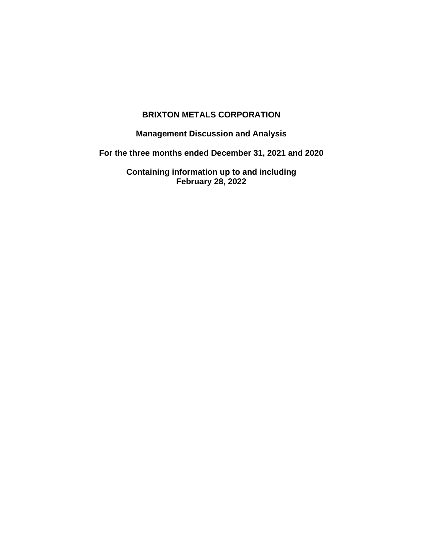# **BRIXTON METALS CORPORATION**

**Management Discussion and Analysis**

**For the three months ended December 31, 2021 and 2020**

**Containing information up to and including February 28, 2022**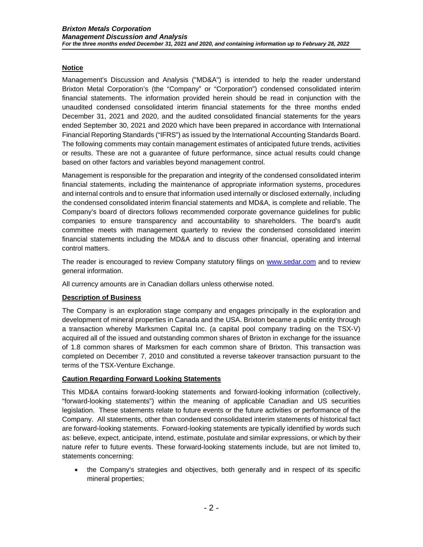# **Notice**

Management's Discussion and Analysis ("MD&A") is intended to help the reader understand Brixton Metal Corporation's (the "Company" or "Corporation") condensed consolidated interim financial statements. The information provided herein should be read in conjunction with the unaudited condensed consolidated interim financial statements for the three months ended December 31, 2021 and 2020, and the audited consolidated financial statements for the years ended September 30, 2021 and 2020 which have been prepared in accordance with International Financial Reporting Standards ("IFRS") as issued by the International Accounting Standards Board. The following comments may contain management estimates of anticipated future trends, activities or results. These are not a guarantee of future performance, since actual results could change based on other factors and variables beyond management control.

Management is responsible for the preparation and integrity of the condensed consolidated interim financial statements, including the maintenance of appropriate information systems, procedures and internal controls and to ensure that information used internally or disclosed externally, including the condensed consolidated interim financial statements and MD&A, is complete and reliable. The Company's board of directors follows recommended corporate governance guidelines for public companies to ensure transparency and accountability to shareholders. The board's audit committee meets with management quarterly to review the condensed consolidated interim financial statements including the MD&A and to discuss other financial, operating and internal control matters.

The reader is encouraged to review Company statutory filings on [www.sedar.com](http://www.sedar.com/) and to review general information.

All currency amounts are in Canadian dollars unless otherwise noted.

### **Description of Business**

The Company is an exploration stage company and engages principally in the exploration and development of mineral properties in Canada and the USA. Brixton became a public entity through a transaction whereby Marksmen Capital Inc. (a capital pool company trading on the TSX-V) acquired all of the issued and outstanding common shares of Brixton in exchange for the issuance of 1.8 common shares of Marksmen for each common share of Brixton. This transaction was completed on December 7, 2010 and constituted a reverse takeover transaction pursuant to the terms of the TSX-Venture Exchange.

### **Caution Regarding Forward Looking Statements**

This MD&A contains forward-looking statements and forward-looking information (collectively, "forward-looking statements") within the meaning of applicable Canadian and US securities legislation. These statements relate to future events or the future activities or performance of the Company. All statements, other than condensed consolidated interim statements of historical fact are forward-looking statements. Forward-looking statements are typically identified by words such as: believe, expect, anticipate, intend, estimate, postulate and similar expressions, or which by their nature refer to future events. These forward-looking statements include, but are not limited to, statements concerning:

• the Company's strategies and objectives, both generally and in respect of its specific mineral properties;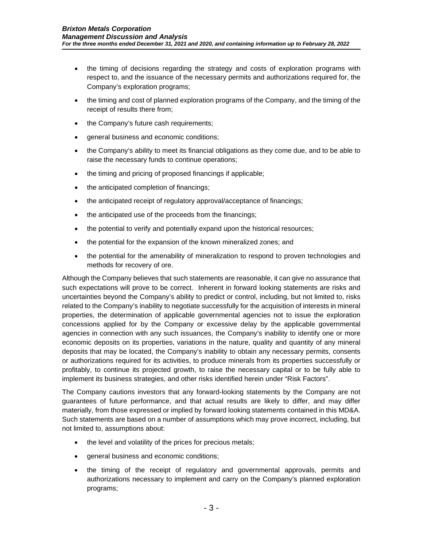- the timing of decisions regarding the strategy and costs of exploration programs with respect to, and the issuance of the necessary permits and authorizations required for, the Company's exploration programs;
- the timing and cost of planned exploration programs of the Company, and the timing of the receipt of results there from;
- the Company's future cash requirements;
- general business and economic conditions;
- the Company's ability to meet its financial obligations as they come due, and to be able to raise the necessary funds to continue operations;
- the timing and pricing of proposed financings if applicable;
- the anticipated completion of financings;
- the anticipated receipt of regulatory approval/acceptance of financings;
- the anticipated use of the proceeds from the financings;
- the potential to verify and potentially expand upon the historical resources;
- the potential for the expansion of the known mineralized zones; and
- the potential for the amenability of mineralization to respond to proven technologies and methods for recovery of ore.

Although the Company believes that such statements are reasonable, it can give no assurance that such expectations will prove to be correct. Inherent in forward looking statements are risks and uncertainties beyond the Company's ability to predict or control, including, but not limited to, risks related to the Company's inability to negotiate successfully for the acquisition of interests in mineral properties, the determination of applicable governmental agencies not to issue the exploration concessions applied for by the Company or excessive delay by the applicable governmental agencies in connection with any such issuances, the Company's inability to identify one or more economic deposits on its properties, variations in the nature, quality and quantity of any mineral deposits that may be located, the Company's inability to obtain any necessary permits, consents or authorizations required for its activities, to produce minerals from its properties successfully or profitably, to continue its projected growth, to raise the necessary capital or to be fully able to implement its business strategies, and other risks identified herein under "Risk Factors".

The Company cautions investors that any forward-looking statements by the Company are not guarantees of future performance, and that actual results are likely to differ, and may differ materially, from those expressed or implied by forward looking statements contained in this MD&A. Such statements are based on a number of assumptions which may prove incorrect, including, but not limited to, assumptions about:

- the level and volatility of the prices for precious metals;
- general business and economic conditions;
- the timing of the receipt of regulatory and governmental approvals, permits and authorizations necessary to implement and carry on the Company's planned exploration programs;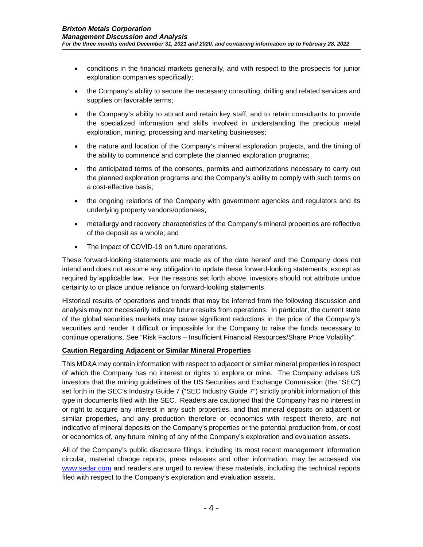- conditions in the financial markets generally, and with respect to the prospects for junior exploration companies specifically;
- the Company's ability to secure the necessary consulting, drilling and related services and supplies on favorable terms;
- the Company's ability to attract and retain key staff, and to retain consultants to provide the specialized information and skills involved in understanding the precious metal exploration, mining, processing and marketing businesses;
- the nature and location of the Company's mineral exploration projects, and the timing of the ability to commence and complete the planned exploration programs;
- the anticipated terms of the consents, permits and authorizations necessary to carry out the planned exploration programs and the Company's ability to comply with such terms on a cost-effective basis;
- the ongoing relations of the Company with government agencies and regulators and its underlying property vendors/optionees;
- metallurgy and recovery characteristics of the Company's mineral properties are reflective of the deposit as a whole; and
- The impact of COVID-19 on future operations.

These forward-looking statements are made as of the date hereof and the Company does not intend and does not assume any obligation to update these forward-looking statements, except as required by applicable law. For the reasons set forth above, investors should not attribute undue certainty to or place undue reliance on forward-looking statements.

Historical results of operations and trends that may be inferred from the following discussion and analysis may not necessarily indicate future results from operations. In particular, the current state of the global securities markets may cause significant reductions in the price of the Company's securities and render it difficult or impossible for the Company to raise the funds necessary to continue operations. See "Risk Factors – Insufficient Financial Resources/Share Price Volatility".

#### **Caution Regarding Adjacent or Similar Mineral Properties**

This MD&A may contain information with respect to adjacent or similar mineral properties in respect of which the Company has no interest or rights to explore or mine. The Company advises US investors that the mining guidelines of the US Securities and Exchange Commission (the "SEC") set forth in the SEC's Industry Guide 7 ("SEC Industry Guide 7") strictly prohibit information of this type in documents filed with the SEC. Readers are cautioned that the Company has no interest in or right to acquire any interest in any such properties, and that mineral deposits on adjacent or similar properties, and any production therefore or economics with respect thereto, are not indicative of mineral deposits on the Company's properties or the potential production from, or cost or economics of, any future mining of any of the Company's exploration and evaluation assets.

All of the Company's public disclosure filings, including its most recent management information circular, material change reports, press releases and other information, may be accessed via [www.sedar.com](http://www.sedar.com/) and readers are urged to review these materials, including the technical reports filed with respect to the Company's exploration and evaluation assets.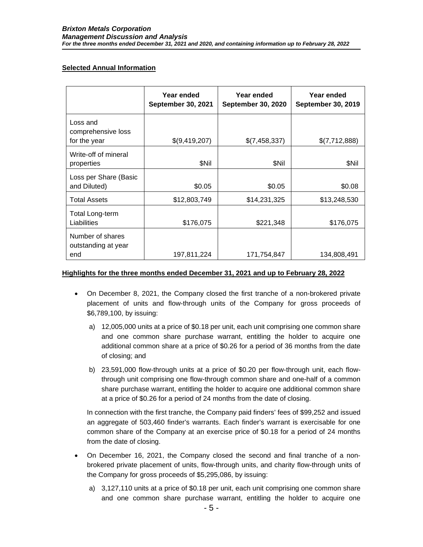# **Selected Annual Information**

|                                                | Year ended<br><b>September 30, 2021</b> | Year ended<br><b>September 30, 2020</b> | Year ended<br><b>September 30, 2019</b> |
|------------------------------------------------|-----------------------------------------|-----------------------------------------|-----------------------------------------|
| Loss and<br>comprehensive loss<br>for the year | \$(9,419,207)                           | \$(7,458,337)                           | \$(7,712,888)                           |
| Write-off of mineral<br>properties             | \$Nil                                   | \$Nil                                   | \$Nil                                   |
| Loss per Share (Basic<br>and Diluted)          | \$0.05                                  | \$0.05                                  | \$0.08                                  |
| <b>Total Assets</b>                            | \$12,803,749                            | \$14,231,325                            | \$13,248,530                            |
| Total Long-term<br>Liabilities                 | \$176,075                               | \$221,348                               | \$176,075                               |
| Number of shares<br>outstanding at year<br>end | 197,811,224                             | 171,754,847                             | 134,808,491                             |

## **Highlights for the three months ended December 31, 2021 and up to February 28, 2022**

- On December 8, 2021, the Company closed the first tranche of a non-brokered private placement of units and flow-through units of the Company for gross proceeds of \$6,789,100, by issuing:
	- a) 12,005,000 units at a price of \$0.18 per unit, each unit comprising one common share and one common share purchase warrant, entitling the holder to acquire one additional common share at a price of \$0.26 for a period of 36 months from the date of closing; and
	- b) 23,591,000 flow-through units at a price of \$0.20 per flow-through unit, each flowthrough unit comprising one flow-through common share and one-half of a common share purchase warrant, entitling the holder to acquire one additional common share at a price of \$0.26 for a period of 24 months from the date of closing.

In connection with the first tranche, the Company paid finders' fees of \$99,252 and issued an aggregate of 503,460 finder's warrants. Each finder's warrant is exercisable for one common share of the Company at an exercise price of \$0.18 for a period of 24 months from the date of closing.

- On December 16, 2021, the Company closed the second and final tranche of a nonbrokered private placement of units, flow-through units, and charity flow-through units of the Company for gross proceeds of \$5,295,086, by issuing:
	- a) 3,127,110 units at a price of \$0.18 per unit, each unit comprising one common share and one common share purchase warrant, entitling the holder to acquire one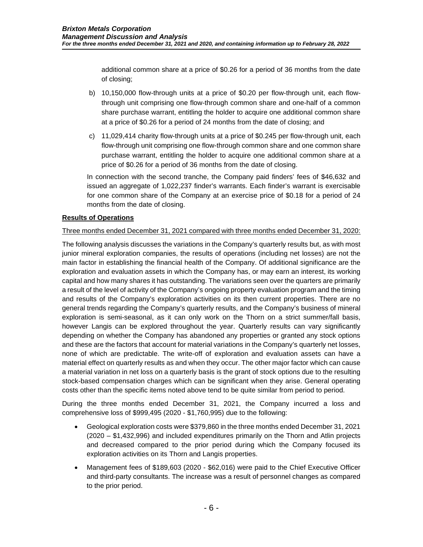additional common share at a price of \$0.26 for a period of 36 months from the date of closing;

- b) 10,150,000 flow-through units at a price of \$0.20 per flow-through unit, each flowthrough unit comprising one flow-through common share and one-half of a common share purchase warrant, entitling the holder to acquire one additional common share at a price of \$0.26 for a period of 24 months from the date of closing; and
- c) 11,029,414 charity flow-through units at a price of \$0.245 per flow-through unit, each flow-through unit comprising one flow-through common share and one common share purchase warrant, entitling the holder to acquire one additional common share at a price of \$0.26 for a period of 36 months from the date of closing.

In connection with the second tranche, the Company paid finders' fees of \$46,632 and issued an aggregate of 1,022,237 finder's warrants. Each finder's warrant is exercisable for one common share of the Company at an exercise price of \$0.18 for a period of 24 months from the date of closing.

# **Results of Operations**

### Three months ended December 31, 2021 compared with three months ended December 31, 2020:

The following analysis discusses the variations in the Company's quarterly results but, as with most junior mineral exploration companies, the results of operations (including net losses) are not the main factor in establishing the financial health of the Company. Of additional significance are the exploration and evaluation assets in which the Company has, or may earn an interest, its working capital and how many shares it has outstanding. The variations seen over the quarters are primarily a result of the level of activity of the Company's ongoing property evaluation program and the timing and results of the Company's exploration activities on its then current properties. There are no general trends regarding the Company's quarterly results, and the Company's business of mineral exploration is semi-seasonal, as it can only work on the Thorn on a strict summer/fall basis, however Langis can be explored throughout the year. Quarterly results can vary significantly depending on whether the Company has abandoned any properties or granted any stock options and these are the factors that account for material variations in the Company's quarterly net losses, none of which are predictable. The write-off of exploration and evaluation assets can have a material effect on quarterly results as and when they occur. The other major factor which can cause a material variation in net loss on a quarterly basis is the grant of stock options due to the resulting stock-based compensation charges which can be significant when they arise. General operating costs other than the specific items noted above tend to be quite similar from period to period.

During the three months ended December 31, 2021, the Company incurred a loss and comprehensive loss of \$999,495 (2020 - \$1,760,995) due to the following:

- Geological exploration costs were \$379,860 in the three months ended December 31, 2021 (2020 – \$1,432,996) and included expenditures primarily on the Thorn and Atlin projects and decreased compared to the prior period during which the Company focused its exploration activities on its Thorn and Langis properties.
- Management fees of \$189,603 (2020 \$62,016) were paid to the Chief Executive Officer and third-party consultants. The increase was a result of personnel changes as compared to the prior period.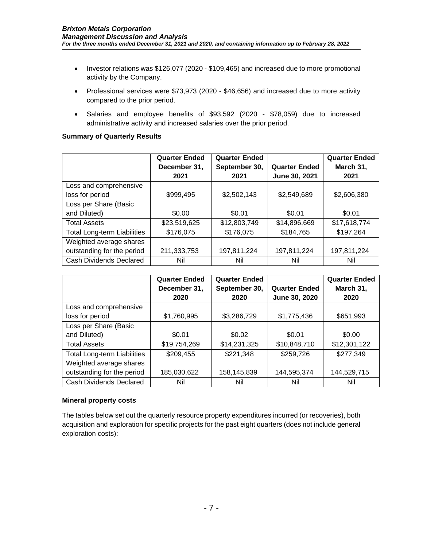- Investor relations was \$126,077 (2020 \$109,465) and increased due to more promotional activity by the Company.
- Professional services were \$73,973 (2020 \$46,656) and increased due to more activity compared to the prior period.
- Salaries and employee benefits of \$93,592 (2020 \$78,059) due to increased administrative activity and increased salaries over the prior period.

### **Summary of Quarterly Results**

|                                    | <b>Quarter Ended</b> | <b>Quarter Ended</b> |                      | <b>Quarter Ended</b> |
|------------------------------------|----------------------|----------------------|----------------------|----------------------|
|                                    | December 31,         | September 30,        | <b>Quarter Ended</b> | March 31,            |
|                                    | 2021                 | 2021                 | June 30, 2021        | 2021                 |
| Loss and comprehensive             |                      |                      |                      |                      |
| loss for period                    | \$999,495            | \$2,502,143          | \$2,549,689          | \$2,606,380          |
| Loss per Share (Basic              |                      |                      |                      |                      |
| and Diluted)                       | \$0.00               | \$0.01               | \$0.01               | \$0.01               |
| <b>Total Assets</b>                | \$23,519,625         | \$12,803,749         | \$14,896,669         | \$17,618,774         |
| <b>Total Long-term Liabilities</b> | \$176,075            | \$176,075            | \$184,765            | \$197,264            |
| Weighted average shares            |                      |                      |                      |                      |
| outstanding for the period         | 211,333,753          | 197,811,224          | 197,811,224          | 197,811,224          |
| Cash Dividends Declared            | Nil                  | Nil                  | Nil                  | Nil                  |

|                                    | <b>Quarter Ended</b> | <b>Quarter Ended</b> |                      | <b>Quarter Ended</b> |
|------------------------------------|----------------------|----------------------|----------------------|----------------------|
|                                    | December 31,         | September 30,        | <b>Quarter Ended</b> | March 31,            |
|                                    | 2020                 | 2020                 | June 30, 2020        | 2020                 |
| Loss and comprehensive             |                      |                      |                      |                      |
| loss for period                    | \$1,760,995          | \$3,286,729          | \$1,775,436          | \$651,993            |
| Loss per Share (Basic              |                      |                      |                      |                      |
| and Diluted)                       | \$0.01               | \$0.02               | \$0.01               | \$0.00               |
| <b>Total Assets</b>                | \$19,754,269         | \$14,231,325         | \$10,848,710         | \$12,301,122         |
| <b>Total Long-term Liabilities</b> | \$209,455            | \$221,348            | \$259,726            | \$277,349            |
| Weighted average shares            |                      |                      |                      |                      |
| outstanding for the period         | 185,030,622          | 158,145,839          | 144,595,374          | 144,529,715          |
| Cash Dividends Declared            | Nil                  | Nil                  | Nil                  | Nil                  |

#### **Mineral property costs**

The tables below set out the quarterly resource property expenditures incurred (or recoveries), both acquisition and exploration for specific projects for the past eight quarters (does not include general exploration costs):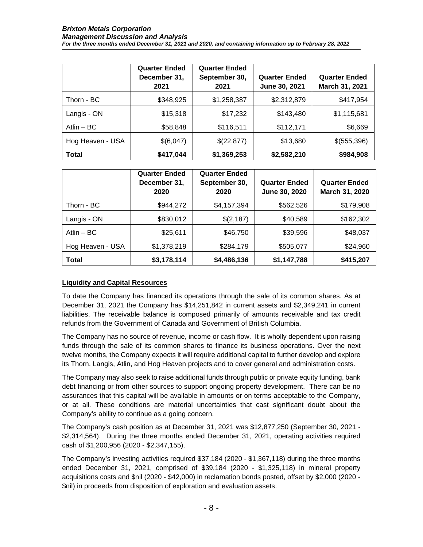|                  | <b>Quarter Ended</b><br>December 31,<br>2021 | <b>Quarter Ended</b><br>September 30,<br>2021 | <b>Quarter Ended</b><br>June 30, 2021 | <b>Quarter Ended</b><br>March 31, 2021 |
|------------------|----------------------------------------------|-----------------------------------------------|---------------------------------------|----------------------------------------|
| Thorn - BC       | \$348,925                                    | \$1,258,387                                   | \$2,312,879                           | \$417,954                              |
| Langis - ON      | \$15,318                                     | \$17,232                                      | \$143,480                             | \$1,115,681                            |
| Atlin $-$ BC     | \$58,848                                     | \$116,511                                     | \$112,171                             | \$6,669                                |
| Hog Heaven - USA | \$(6,047)                                    | \$(22,877)                                    | \$13,680                              | \$(555,396)                            |
| <b>Total</b>     | \$417,044                                    | \$1,369,253                                   | \$2,582,210                           | \$984,908                              |

|                  | <b>Quarter Ended</b><br>December 31,<br>2020 | <b>Quarter Ended</b><br>September 30,<br>2020 | <b>Quarter Ended</b><br>June 30, 2020 | <b>Quarter Ended</b><br>March 31, 2020 |
|------------------|----------------------------------------------|-----------------------------------------------|---------------------------------------|----------------------------------------|
| Thorn - BC       | \$944,272                                    | \$4,157,394                                   | \$562,526                             | \$179,908                              |
| Langis - ON      | \$830,012                                    | \$(2,187)                                     | \$40,589                              | \$162,302                              |
| Atlin $-$ BC     | \$25,611                                     | \$46,750                                      | \$39,596                              | \$48,037                               |
| Hog Heaven - USA | \$1,378,219                                  | \$284,179                                     | \$505,077                             | \$24,960                               |
| <b>Total</b>     | \$3,178,114                                  | \$4,486,136                                   | \$1,147,788                           | \$415,207                              |

# **Liquidity and Capital Resources**

To date the Company has financed its operations through the sale of its common shares. As at December 31, 2021 the Company has \$14,251,842 in current assets and \$2,349,241 in current liabilities. The receivable balance is composed primarily of amounts receivable and tax credit refunds from the Government of Canada and Government of British Columbia.

The Company has no source of revenue, income or cash flow. It is wholly dependent upon raising funds through the sale of its common shares to finance its business operations. Over the next twelve months, the Company expects it will require additional capital to further develop and explore its Thorn, Langis, Atlin, and Hog Heaven projects and to cover general and administration costs.

The Company may also seek to raise additional funds through public or private equity funding, bank debt financing or from other sources to support ongoing property development. There can be no assurances that this capital will be available in amounts or on terms acceptable to the Company, or at all. These conditions are material uncertainties that cast significant doubt about the Company's ability to continue as a going concern.

The Company's cash position as at December 31, 2021 was \$12,877,250 (September 30, 2021 - \$2,314,564). During the three months ended December 31, 2021, operating activities required cash of \$1,200,956 (2020 - \$2,347,155).

The Company's investing activities required \$37,184 (2020 - \$1,367,118) during the three months ended December 31, 2021, comprised of \$39,184 (2020 - \$1,325,118) in mineral property acquisitions costs and \$nil (2020 - \$42,000) in reclamation bonds posted, offset by \$2,000 (2020 - \$nil) in proceeds from disposition of exploration and evaluation assets.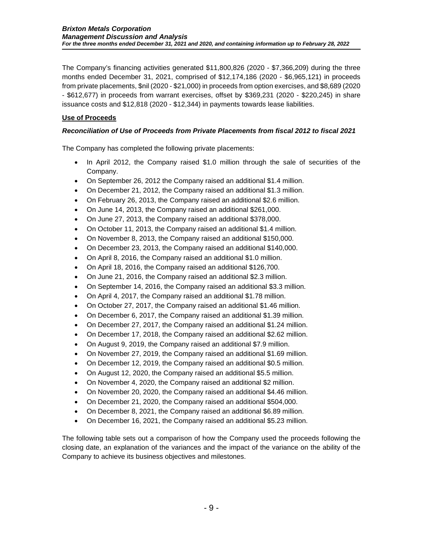The Company's financing activities generated \$11,800,826 (2020 - \$7,366,209) during the three months ended December 31, 2021, comprised of \$12,174,186 (2020 - \$6,965,121) in proceeds from private placements, \$nil (2020 - \$21,000) in proceeds from option exercises, and \$8,689 (2020 - \$612,677) in proceeds from warrant exercises, offset by \$369,231 (2020 - \$220,245) in share issuance costs and \$12,818 (2020 - \$12,344) in payments towards lease liabilities.

# **Use of Proceeds**

# *Reconciliation of Use of Proceeds from Private Placements from fiscal 2012 to fiscal 2021*

The Company has completed the following private placements:

- In April 2012, the Company raised \$1.0 million through the sale of securities of the Company.
- On September 26, 2012 the Company raised an additional \$1.4 million.
- On December 21, 2012, the Company raised an additional \$1.3 million.
- On February 26, 2013, the Company raised an additional \$2.6 million.
- On June 14, 2013, the Company raised an additional \$261,000.
- On June 27, 2013, the Company raised an additional \$378,000.
- On October 11, 2013, the Company raised an additional \$1.4 million.
- On November 8, 2013, the Company raised an additional \$150,000.
- On December 23, 2013, the Company raised an additional \$140,000.
- On April 8, 2016, the Company raised an additional \$1.0 million.
- On April 18, 2016, the Company raised an additional \$126,700.
- On June 21, 2016, the Company raised an additional \$2.3 million.
- On September 14, 2016, the Company raised an additional \$3.3 million.
- On April 4, 2017, the Company raised an additional \$1.78 million.
- On October 27, 2017, the Company raised an additional \$1.46 million.
- On December 6, 2017, the Company raised an additional \$1.39 million.
- On December 27, 2017, the Company raised an additional \$1.24 million.
- On December 17, 2018, the Company raised an additional \$2.62 million.
- On August 9, 2019, the Company raised an additional \$7.9 million.
- On November 27, 2019, the Company raised an additional \$1.69 million.
- On December 12, 2019, the Company raised an additional \$0.5 million.
- On August 12, 2020, the Company raised an additional \$5.5 million.
- On November 4, 2020, the Company raised an additional \$2 million.
- On November 20, 2020, the Company raised an additional \$4.46 million.
- On December 21, 2020, the Company raised an additional \$504,000.
- On December 8, 2021, the Company raised an additional \$6.89 million.
- On December 16, 2021, the Company raised an additional \$5.23 million.

The following table sets out a comparison of how the Company used the proceeds following the closing date, an explanation of the variances and the impact of the variance on the ability of the Company to achieve its business objectives and milestones.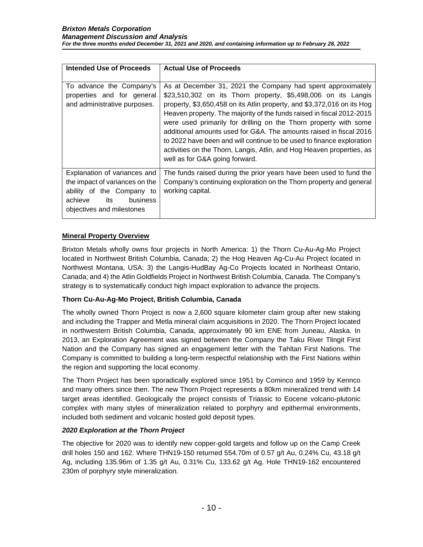| Intended Use of Proceeds                                                                                                                               | <b>Actual Use of Proceeds</b>                                                                                                                                                                                                                                                                                                                                                                                                                                                                                                                                                                                  |
|--------------------------------------------------------------------------------------------------------------------------------------------------------|----------------------------------------------------------------------------------------------------------------------------------------------------------------------------------------------------------------------------------------------------------------------------------------------------------------------------------------------------------------------------------------------------------------------------------------------------------------------------------------------------------------------------------------------------------------------------------------------------------------|
|                                                                                                                                                        |                                                                                                                                                                                                                                                                                                                                                                                                                                                                                                                                                                                                                |
| To advance the Company's<br>properties and for general<br>and administrative purposes.                                                                 | As at December 31, 2021 the Company had spent approximately<br>\$23,510,302 on its Thorn property, \$5,498,006 on its Langis<br>property, \$3,650,458 on its Atlin property, and \$3,372,016 on its Hog<br>Heaven property. The majority of the funds raised in fiscal 2012-2015<br>were used primarily for drilling on the Thorn property with some<br>additional amounts used for G&A. The amounts raised in fiscal 2016<br>to 2022 have been and will continue to be used to finance exploration<br>activities on the Thorn, Langis, Atlin, and Hog Heaven properties, as<br>well as for G&A going forward. |
| Explanation of variances and<br>the impact of variances on the<br>ability of the Company to<br>achieve<br>its<br>business<br>objectives and milestones | The funds raised during the prior years have been used to fund the<br>Company's continuing exploration on the Thorn property and general<br>working capital.                                                                                                                                                                                                                                                                                                                                                                                                                                                   |

# **Mineral Property Overview**

Brixton Metals wholly owns four projects in North America: 1) the Thorn Cu-Au-Ag-Mo Project located in Northwest British Columbia, Canada; 2) the Hog Heaven Ag-Cu-Au Project located in Northwest Montana, USA; 3) the Langis-HudBay Ag-Co Projects located in Northeast Ontario, Canada; and 4) the Atlin Goldfields Project in Northwest British Columbia, Canada. The Company's strategy is to systematically conduct high impact exploration to advance the projects.

### **Thorn Cu-Au-Ag-Mo Project, British Columbia, Canada**

The wholly owned Thorn Project is now a 2,600 square kilometer claim group after new staking and including the Trapper and Metla mineral claim acquisitions in 2020. The Thorn Project located in northwestern British Columbia, Canada, approximately 90 km ENE from Juneau, Alaska. In 2013, an Exploration Agreement was signed between the Company the Taku River Tlingit First Nation and the Company has signed an engagement letter with the Tahltan First Nations. The Company is committed to building a long-term respectful relationship with the First Nations within the region and supporting the local economy.

The Thorn Project has been sporadically explored since 1951 by Cominco and 1959 by Kennco and many others since then. The new Thorn Project represents a 80km mineralized trend with 14 target areas identified. Geologically the project consists of Triassic to Eocene volcano-plutonic complex with many styles of mineralization related to porphyry and epithermal environments, included both sediment and volcanic hosted gold deposit types.

### *2020 Exploration at the Thorn Project*

The objective for 2020 was to identify new copper-gold targets and follow up on the Camp Creek drill holes 150 and 162. Where THN19-150 returned 554.70m of 0.57 g/t Au, 0.24% Cu, 43.18 g/t Ag, including 135.96m of 1.35 g/t Au, 0.31% Cu, 133.62 g/t Ag. Hole THN19-162 encountered 230m of porphyry style mineralization.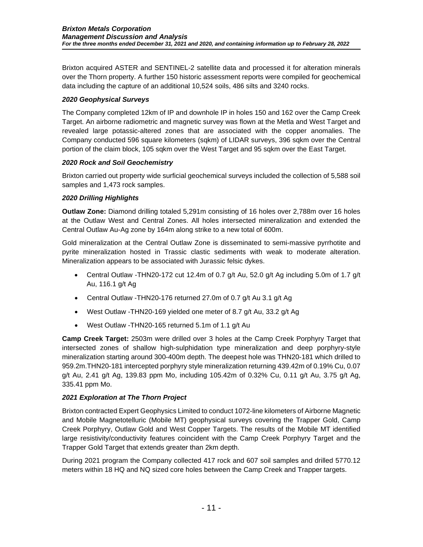Brixton acquired ASTER and SENTINEL-2 satellite data and processed it for alteration minerals over the Thorn property. A further 150 historic assessment reports were compiled for geochemical data including the capture of an additional 10,524 soils, 486 silts and 3240 rocks.

## *2020 Geophysical Surveys*

The Company completed 12km of IP and downhole IP in holes 150 and 162 over the Camp Creek Target. An airborne radiometric and magnetic survey was flown at the Metla and West Target and revealed large potassic-altered zones that are associated with the copper anomalies. The Company conducted 596 square kilometers (sqkm) of LIDAR surveys, 396 sqkm over the Central portion of the claim block, 105 sqkm over the West Target and 95 sqkm over the East Target.

### *2020 Rock and Soil Geochemistry*

Brixton carried out property wide surficial geochemical surveys included the collection of 5,588 soil samples and 1,473 rock samples.

# *2020 Drilling Highlights*

**Outlaw Zone:** Diamond drilling totaled 5,291m consisting of 16 holes over 2,788m over 16 holes at the Outlaw West and Central Zones. All holes intersected mineralization and extended the Central Outlaw Au-Ag zone by 164m along strike to a new total of 600m.

Gold mineralization at the Central Outlaw Zone is disseminated to semi-massive pyrrhotite and pyrite mineralization hosted in Trassic clastic sediments with weak to moderate alteration. Mineralization appears to be associated with Jurassic felsic dykes.

- Central Outlaw -THN20-172 cut 12.4m of 0.7 g/t Au, 52.0 g/t Ag including 5.0m of 1.7 g/t Au, 116.1 g/t Ag
- Central Outlaw -THN20-176 returned 27.0m of 0.7 g/t Au 3.1 g/t Ag
- West Outlaw -THN20-169 yielded one meter of 8.7 g/t Au, 33.2 g/t Ag
- West Outlaw -THN20-165 returned 5.1m of 1.1 g/t Au

**Camp Creek Target:** 2503m were drilled over 3 holes at the Camp Creek Porphyry Target that intersected zones of shallow high-sulphidation type mineralization and deep porphyry-style mineralization starting around 300-400m depth. The deepest hole was THN20-181 which drilled to 959.2m.THN20-181 intercepted porphyry style mineralization returning 439.42m of 0.19% Cu, 0.07  $g/t$  Au, 2.41 g/t Ag, 139.83 ppm Mo, including 105.42m of 0.32% Cu, 0.11 g/t Au, 3.75 g/t Ag, 335.41 ppm Mo.

# *2021 Exploration at The Thorn Project*

Brixton contracted Expert Geophysics Limited to conduct 1072-line kilometers of Airborne Magnetic and Mobile Magnetotelluric (Mobile MT) geophysical surveys covering the Trapper Gold, Camp Creek Porphyry, Outlaw Gold and West Copper Targets. The results of the Mobile MT identified large resistivity/conductivity features coincident with the Camp Creek Porphyry Target and the Trapper Gold Target that extends greater than 2km depth.

During 2021 program the Company collected 417 rock and 607 soil samples and drilled 5770.12 meters within 18 HQ and NQ sized core holes between the Camp Creek and Trapper targets.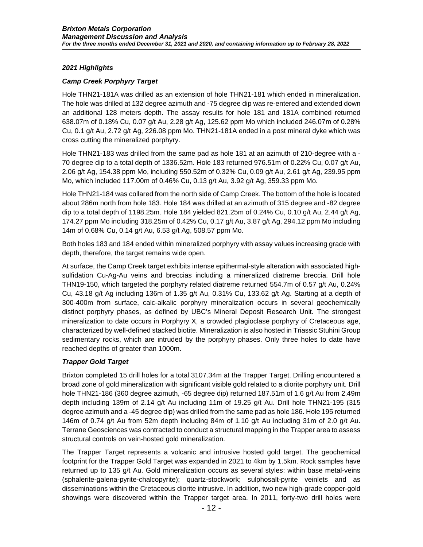## *2021 Highlights*

## *Camp Creek Porphyry Target*

Hole THN21-181A was drilled as an extension of hole THN21-181 which ended in mineralization. The hole was drilled at 132 degree azimuth and -75 degree dip was re-entered and extended down an additional 128 meters depth. The assay results for hole 181 and 181A combined returned 638.07m of 0.18% Cu, 0.07 g/t Au, 2.28 g/t Ag, 125.62 ppm Mo which included 246.07m of 0.28% Cu, 0.1 g/t Au, 2.72 g/t Ag, 226.08 ppm Mo. THN21-181A ended in a post mineral dyke which was cross cutting the mineralized porphyry.

Hole THN21-183 was drilled from the same pad as hole 181 at an azimuth of 210-degree with a - 70 degree dip to a total depth of 1336.52m. Hole 183 returned 976.51m of 0.22% Cu, 0.07 g/t Au, 2.06 g/t Ag, 154.38 ppm Mo, including 550.52m of 0.32% Cu, 0.09 g/t Au, 2.61 g/t Ag, 239.95 ppm Mo, which included 117.00m of 0.46% Cu, 0.13 g/t Au, 3.92 g/t Ag, 359.33 ppm Mo.

Hole THN21-184 was collared from the north side of Camp Creek. The bottom of the hole is located about 286m north from hole 183. Hole 184 was drilled at an azimuth of 315 degree and -82 degree dip to a total depth of 1198.25m. Hole 184 yielded 821.25m of 0.24% Cu, 0.10 g/t Au, 2.44 g/t Ag, 174.27 ppm Mo including 318.25m of 0.42% Cu, 0.17 g/t Au, 3.87 g/t Ag, 294.12 ppm Mo including 14m of 0.68% Cu, 0.14 g/t Au, 6.53 g/t Ag, 508.57 ppm Mo.

Both holes 183 and 184 ended within mineralized porphyry with assay values increasing grade with depth, therefore, the target remains wide open.

At surface, the Camp Creek target exhibits intense epithermal-style alteration with associated highsulfidation Cu-Ag-Au veins and breccias including a mineralized diatreme breccia. Drill hole THN19-150, which targeted the porphyry related diatreme returned 554.7m of 0.57 g/t Au, 0.24% Cu,  $43.18$  g/t Ag including 136m of 1.35 g/t Au, 0.31% Cu, 133.62 g/t Ag. Starting at a depth of 300-400m from surface, calc-alkalic porphyry mineralization occurs in several geochemically distinct porphyry phases, as defined by UBC's Mineral Deposit Research Unit. The strongest mineralization to date occurs in Porphyry X, a crowded plagioclase porphyry of Cretaceous age, characterized by well-defined stacked biotite. Mineralization is also hosted in Triassic Stuhini Group sedimentary rocks, which are intruded by the porphyry phases. Only three holes to date have reached depths of greater than 1000m.

# *Trapper Gold Target*

Brixton completed 15 drill holes for a total 3107.34m at the Trapper Target. Drilling encountered a broad zone of gold mineralization with significant visible gold related to a diorite porphyry unit. Drill hole THN21-186 (360 degree azimuth, -65 degree dip) returned 187.51m of 1.6 g/t Au from 2.49m depth including 139m of 2.14 g/t Au including 11m of 19.25 g/t Au. Drill hole THN21-195 (315 degree azimuth and a -45 degree dip) was drilled from the same pad as hole 186. Hole 195 returned 146m of 0.74 g/t Au from 52m depth including 84m of 1.10 g/t Au including 31m of 2.0 g/t Au. Terrane Geosciences was contracted to conduct a structural mapping in the Trapper area to assess structural controls on vein-hosted gold mineralization.

The Trapper Target represents a volcanic and intrusive hosted gold target. The geochemical footprint for the Trapper Gold Target was expanded in 2021 to 4km by 1.5km. Rock samples have returned up to 135 g/t Au. Gold mineralization occurs as several styles: within base metal-veins (sphalerite-galena-pyrite-chalcopyrite); quartz-stockwork; sulphosalt-pyrite veinlets and as disseminations within the Cretaceous diorite intrusive. In addition, two new high-grade copper-gold showings were discovered within the Trapper target area. In 2011, forty-two drill holes were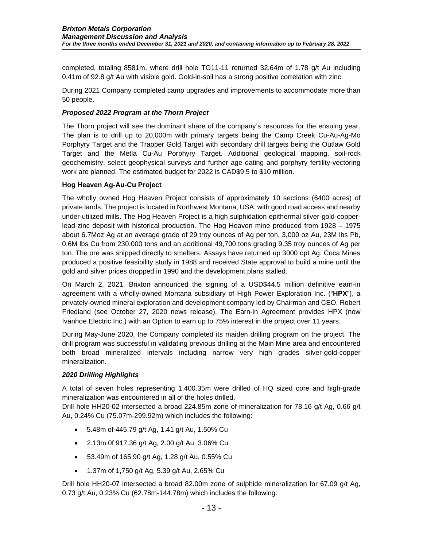completed, totaling 8581m, where drill hole TG11-11 returned 32.64m of 1.78 g/t Au including 0.41m of 92.8 g/t Au with visible gold. Gold-in-soil has a strong positive correlation with zinc.

During 2021 Company completed camp upgrades and improvements to accommodate more than 50 people.

## *Proposed 2022 Program at the Thorn Project*

The Thorn project will see the dominant share of the company's resources for the ensuing year. The plan is to drill up to 20,000m with primary targets being the Camp Creek Cu-Au-Ag-Mo Porphyry Target and the Trapper Gold Target with secondary drill targets being the Outlaw Gold Target and the Metla Cu-Au Porphyry Target. Additional geological mapping, soil-rock geochemistry, select geophysical surveys and further age dating and porphyry fertility-vectoring work are planned. The estimated budget for 2022 is CAD\$9.5 to \$10 million.

### **Hog Heaven Ag-Au-Cu Project**

The wholly owned Hog Heaven Project consists of approximately 10 sections (6400 acres) of private lands. The project is located in Northwest Montana, USA, with good road access and nearby under-utilized mills. The Hog Heaven Project is a high sulphidation epithermal silver-gold-copperlead-zinc deposit with historical production. The Hog Heaven mine produced from 1928 – 1975 about 6.7Moz Ag at an average grade of 29 troy ounces of Ag per ton, 3,000 oz Au, 23M lbs Pb, 0.6M lbs Cu from 230,000 tons and an additional 49,700 tons grading 9.35 troy ounces of Ag per ton. The ore was shipped directly to smelters. Assays have returned up 3000 opt Ag. Coca Mines produced a positive feasibility study in 1988 and received State approval to build a mine until the gold and silver prices dropped in 1990 and the development plans stalled.

On March 2, 2021, Brixton announced the signing of a USD\$44.5 million definitive earn-in agreement with a wholly-owned Montana subsidiary of High Power Exploration Inc. ("**HPX**"), a privately-owned mineral exploration and development company led by Chairman and CEO, Robert Friedland (see October 27, 2020 news release). The Earn-in Agreement provides HPX (now Ivanhoe Electric Inc.) with an Option to earn up to 75% interest in the project over 11 years.

During May-June 2020, the Company completed its maiden drilling program on the project. The drill program was successful in validating previous drilling at the Main Mine area and encountered both broad mineralized intervals including narrow very high grades silver-gold-copper mineralization.

### *2020 Drilling Highlights*

A total of seven holes representing 1,400.35m were drilled of HQ sized core and high-grade mineralization was encountered in all of the holes drilled.

Drill hole HH20-02 intersected a broad 224.85m zone of mineralization for 78.16 g/t Ag, 0.66 g/t Au, 0.24% Cu (75.07m-299.92m) which includes the following:

- 5.48m of 445.79 g/t Ag, 1.41 g/t Au, 1.50% Cu
- 2.13m 0f 917.36 g/t Ag, 2.00 g/t Au, 3.06% Cu
- 53.49m of 165.90 g/t Ag, 1.28 g/t Au, 0.55% Cu
- 1.37m of 1,750 g/t Ag, 5.39 g/t Au, 2.65% Cu

Drill hole HH20-07 intersected a broad 82.00m zone of sulphide mineralization for 67.09 g/t Ag, 0.73 g/t Au, 0.23% Cu (62.78m-144.78m) which includes the following: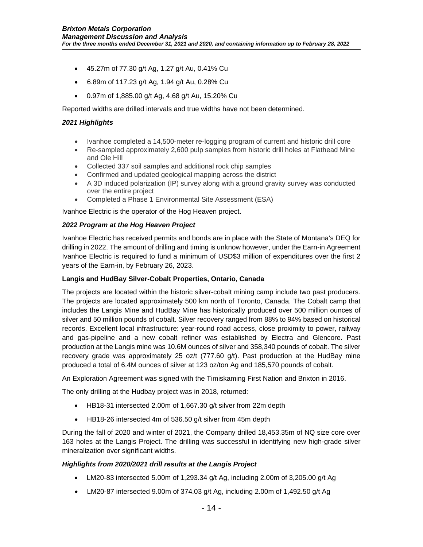- 45.27m of 77.30 g/t Ag, 1.27 g/t Au, 0.41% Cu
- 6.89m of 117.23 g/t Ag, 1.94 g/t Au, 0.28% Cu
- 0.97m of 1,885.00 g/t Ag, 4.68 g/t Au, 15.20% Cu

Reported widths are drilled intervals and true widths have not been determined.

#### *2021 Highlights*

- Ivanhoe completed a 14,500-meter re-logging program of current and historic drill core
- Re-sampled approximately 2,600 pulp samples from historic drill holes at Flathead Mine and Ole Hill
- Collected 337 soil samples and additional rock chip samples
- Confirmed and updated geological mapping across the district
- A 3D induced polarization (IP) survey along with a ground gravity survey was conducted over the entire project
- Completed a Phase 1 Environmental Site Assessment (ESA)

Ivanhoe Electric is the operator of the Hog Heaven project.

#### *2022 Program at the Hog Heaven Project*

Ivanhoe Electric has received permits and bonds are in place with the State of Montana's DEQ for drilling in 2022. The amount of drilling and timing is unknow however, under the Earn-in Agreement Ivanhoe Electric is required to fund a minimum of USD\$3 million of expenditures over the first 2 years of the Earn-in, by February 26, 2023.

### **Langis and HudBay Silver-Cobalt Properties, Ontario, Canada**

The projects are located within the historic silver-cobalt mining camp include two past producers. The projects are located approximately 500 km north of Toronto, Canada. The Cobalt camp that includes the Langis Mine and HudBay Mine has historically produced over 500 million ounces of silver and 50 million pounds of cobalt. Silver recovery ranged from 88% to 94% based on historical records. Excellent local infrastructure: year-round road access, close proximity to power, railway and gas-pipeline and a new cobalt refiner was established by Electra and Glencore. Past production at the Langis mine was 10.6M ounces of silver and 358,340 pounds of cobalt. The silver recovery grade was approximately 25 oz/t (777.60 g/t). Past production at the HudBay mine produced a total of 6.4M ounces of silver at 123 oz/ton Ag and 185,570 pounds of cobalt.

An Exploration Agreement was signed with the Timiskaming First Nation and Brixton in 2016.

The only drilling at the Hudbay project was in 2018, returned:

- HB18-31 intersected 2.00m of 1,667.30 g/t silver from 22m depth
- HB18-26 intersected 4m of 536.50 g/t silver from 45m depth

During the fall of 2020 and winter of 2021, the Company drilled 18,453.35m of NQ size core over 163 holes at the Langis Project. The drilling was successful in identifying new high-grade silver mineralization over significant widths.

### *Highlights from 2020/2021 drill results at the Langis Project*

- LM20-83 intersected 5.00m of 1,293.34 g/t Ag, including 2.00m of 3,205.00 g/t Ag
- LM20-87 intersected 9.00m of 374.03 g/t Ag, including 2.00m of 1,492.50 g/t Ag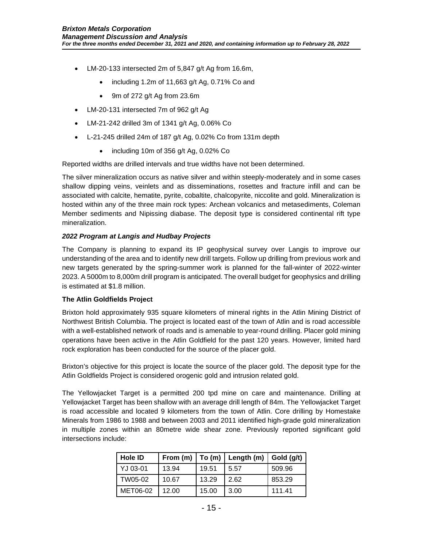- LM-20-133 intersected 2m of 5,847 g/t Ag from 16.6m,
	- including 1.2m of 11,663 g/t Ag, 0.71% Co and
	- 9m of 272 g/t Ag from 23.6m
- LM-20-131 intersected 7m of 962 g/t Ag
- LM-21-242 drilled 3m of 1341 g/t Ag, 0.06% Co
- L-21-245 drilled 24m of 187 g/t Ag, 0.02% Co from 131m depth
	- including 10m of 356 g/t Ag, 0.02% Co

Reported widths are drilled intervals and true widths have not been determined.

The silver mineralization occurs as native silver and within steeply-moderately and in some cases shallow dipping veins, veinlets and as disseminations, rosettes and fracture infill and can be associated with calcite, hematite, pyrite, cobaltite, chalcopyrite, niccolite and gold. Mineralization is hosted within any of the three main rock types: Archean volcanics and metasediments, Coleman Member sediments and Nipissing diabase. The deposit type is considered continental rift type mineralization.

### *2022 Program at Langis and Hudbay Projects*

The Company is planning to expand its IP geophysical survey over Langis to improve our understanding of the area and to identify new drill targets. Follow up drilling from previous work and new targets generated by the spring-summer work is planned for the fall-winter of 2022-winter 2023. A 5000m to 8,000m drill program is anticipated. The overall budget for geophysics and drilling is estimated at \$1.8 million.

### **The Atlin Goldfields Project**

Brixton hold approximately 935 square kilometers of mineral rights in the Atlin Mining District of Northwest British Columbia. The project is located east of the town of Atlin and is road accessible with a well-established network of roads and is amenable to year-round drilling. Placer gold mining operations have been active in the Atlin Goldfield for the past 120 years. However, limited hard rock exploration has been conducted for the source of the placer gold.

Brixton's objective for this project is locate the source of the placer gold. The deposit type for the Atlin Goldfields Project is considered orogenic gold and intrusion related gold.

The Yellowjacket Target is a permitted 200 tpd mine on care and maintenance. Drilling at Yellowjacket Target has been shallow with an average drill length of 84m. The Yellowjacket Target is road accessible and located 9 kilometers from the town of Atlin. Core drilling by Homestake Minerals from 1986 to 1988 and between 2003 and 2011 identified high-grade gold mineralization in multiple zones within an 80metre wide shear zone. Previously reported significant gold intersections include:

| Hole ID  |       |       | From $(m)$   To $(m)$   Length $(m)$   Gold $(g/t)$ |        |
|----------|-------|-------|-----------------------------------------------------|--------|
| YJ 03-01 | 13.94 | 19.51 | 5.57                                                | 509.96 |
| TW05-02  | 10.67 | 13.29 | 2.62                                                | 853.29 |
| MET06-02 | 12.00 | 15.00 | 3.00                                                | 111.41 |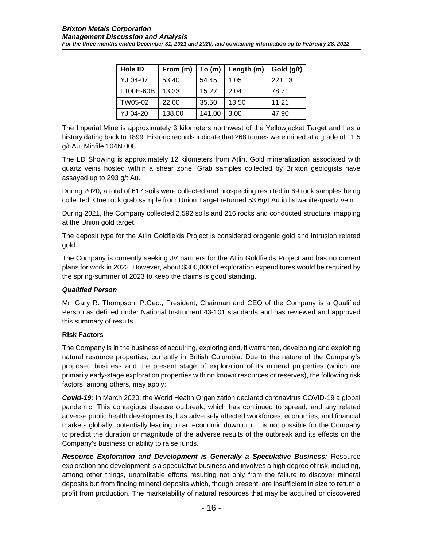| <b>Hole ID</b> | From $(m)$ | To(m)  | $ $ Length (m) $ $ | Gold (g/t) |
|----------------|------------|--------|--------------------|------------|
| YJ 04-07       | 53.40      | 54.45  | 1.05               | 221.13     |
| L100E-60B      | 13.23      | 15.27  | 2.04               | 78.71      |
| TW05-02        | 22.00      | 35.50  | 13.50              | 11.21      |
| YJ 04-20       | 138.00     | 141.00 | 3.00               | 47.90      |

The Imperial Mine is approximately 3 kilometers northwest of the Yellowjacket Target and has a history dating back to 1899. Historic records indicate that 268 tonnes were mined at a grade of 11.5 g/t Au, Minfile 104N 008.

The LD Showing is approximately 12 kilometers from Atlin. Gold mineralization associated with quartz veins hosted within a shear zone. Grab samples collected by Brixton geologists have assayed up to 293 g/t Au.

During 2020*,* a total of 617 soils were collected and prospecting resulted in 69 rock samples being collected. One rock grab sample from Union Target returned 53.6g/t Au in listwanite-quartz vein.

During 2021, the Company collected 2,592 soils and 216 rocks and conducted structural mapping at the Union gold target.

The deposit type for the Atlin Goldfields Project is considered orogenic gold and intrusion related gold.

The Company is currently seeking JV partners for the Atlin Goldfields Project and has no current plans for work in 2022. However, about \$300,000 of exploration expenditures would be required by the spring-summer of 2023 to keep the claims is good standing.

### *Qualified Person*

Mr. Gary R. Thompson, P.Geo., President, Chairman and CEO of the Company is a Qualified Person as defined under National Instrument 43-101 standards and has reviewed and approved this summary of results.

### **Risk Factors**

The Company is in the business of acquiring, exploring and, if warranted, developing and exploiting natural resource properties, currently in British Columbia. Due to the nature of the Company's proposed business and the present stage of exploration of its mineral properties (which are primarily early-stage exploration properties with no known resources or reserves), the following risk factors, among others, may apply:

*Covid-19:* In March 2020, the World Health Organization declared coronavirus COVID-19 a global pandemic. This contagious disease outbreak, which has continued to spread, and any related adverse public health developments, has adversely affected workforces, economies, and financial markets globally, potentially leading to an economic downturn. It is not possible for the Company to predict the duration or magnitude of the adverse results of the outbreak and its effects on the Company's business or ability to raise funds.

*Resource Exploration and Development is Generally a Speculative Business:* Resource exploration and development is a speculative business and involves a high degree of risk, including, among other things, unprofitable efforts resulting not only from the failure to discover mineral deposits but from finding mineral deposits which, though present, are insufficient in size to return a profit from production. The marketability of natural resources that may be acquired or discovered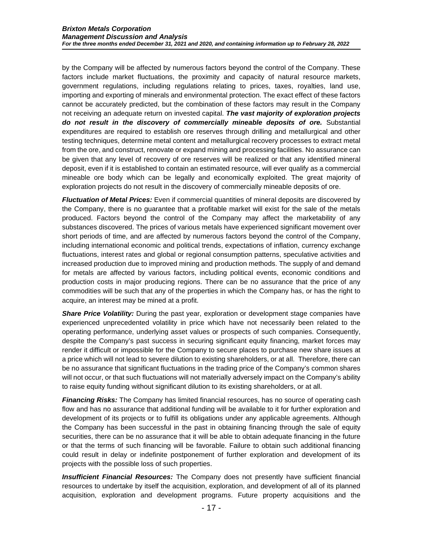by the Company will be affected by numerous factors beyond the control of the Company. These factors include market fluctuations, the proximity and capacity of natural resource markets, government regulations, including regulations relating to prices, taxes, royalties, land use, importing and exporting of minerals and environmental protection. The exact effect of these factors cannot be accurately predicted, but the combination of these factors may result in the Company not receiving an adequate return on invested capital. *The vast majority of exploration projects do not result in the discovery of commercially mineable deposits of ore.* Substantial expenditures are required to establish ore reserves through drilling and metallurgical and other testing techniques, determine metal content and metallurgical recovery processes to extract metal from the ore, and construct, renovate or expand mining and processing facilities. No assurance can be given that any level of recovery of ore reserves will be realized or that any identified mineral deposit, even if it is established to contain an estimated resource, will ever qualify as a commercial mineable ore body which can be legally and economically exploited. The great majority of exploration projects do not result in the discovery of commercially mineable deposits of ore.

*Fluctuation of Metal Prices:* Even if commercial quantities of mineral deposits are discovered by the Company, there is no guarantee that a profitable market will exist for the sale of the metals produced. Factors beyond the control of the Company may affect the marketability of any substances discovered. The prices of various metals have experienced significant movement over short periods of time, and are affected by numerous factors beyond the control of the Company, including international economic and political trends, expectations of inflation, currency exchange fluctuations, interest rates and global or regional consumption patterns, speculative activities and increased production due to improved mining and production methods. The supply of and demand for metals are affected by various factors, including political events, economic conditions and production costs in major producing regions. There can be no assurance that the price of any commodities will be such that any of the properties in which the Company has, or has the right to acquire, an interest may be mined at a profit.

**Share Price Volatility:** During the past year, exploration or development stage companies have experienced unprecedented volatility in price which have not necessarily been related to the operating performance, underlying asset values or prospects of such companies. Consequently, despite the Company's past success in securing significant equity financing, market forces may render it difficult or impossible for the Company to secure places to purchase new share issues at a price which will not lead to severe dilution to existing shareholders, or at all. Therefore, there can be no assurance that significant fluctuations in the trading price of the Company's common shares will not occur, or that such fluctuations will not materially adversely impact on the Company's ability to raise equity funding without significant dilution to its existing shareholders, or at all.

**Financing Risks:** The Company has limited financial resources, has no source of operating cash flow and has no assurance that additional funding will be available to it for further exploration and development of its projects or to fulfill its obligations under any applicable agreements. Although the Company has been successful in the past in obtaining financing through the sale of equity securities, there can be no assurance that it will be able to obtain adequate financing in the future or that the terms of such financing will be favorable. Failure to obtain such additional financing could result in delay or indefinite postponement of further exploration and development of its projects with the possible loss of such properties.

*Insufficient Financial Resources:* The Company does not presently have sufficient financial resources to undertake by itself the acquisition, exploration, and development of all of its planned acquisition, exploration and development programs. Future property acquisitions and the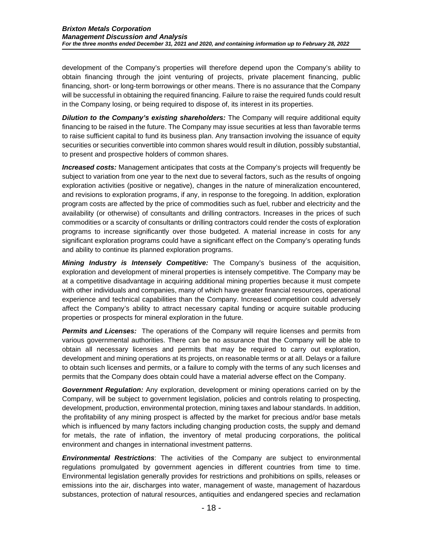development of the Company's properties will therefore depend upon the Company's ability to obtain financing through the joint venturing of projects, private placement financing, public financing, short- or long-term borrowings or other means. There is no assurance that the Company will be successful in obtaining the required financing. Failure to raise the required funds could result in the Company losing, or being required to dispose of, its interest in its properties.

**Dilution to the Company's existing shareholders:** The Company will require additional equity financing to be raised in the future. The Company may issue securities at less than favorable terms to raise sufficient capital to fund its business plan. Any transaction involving the issuance of equity securities or securities convertible into common shares would result in dilution, possibly substantial, to present and prospective holders of common shares.

*Increased costs:* Management anticipates that costs at the Company's projects will frequently be subject to variation from one year to the next due to several factors, such as the results of ongoing exploration activities (positive or negative), changes in the nature of mineralization encountered, and revisions to exploration programs, if any, in response to the foregoing. In addition, exploration program costs are affected by the price of commodities such as fuel, rubber and electricity and the availability (or otherwise) of consultants and drilling contractors. Increases in the prices of such commodities or a scarcity of consultants or drilling contractors could render the costs of exploration programs to increase significantly over those budgeted. A material increase in costs for any significant exploration programs could have a significant effect on the Company's operating funds and ability to continue its planned exploration programs.

*Mining Industry is Intensely Competitive:* The Company's business of the acquisition, exploration and development of mineral properties is intensely competitive. The Company may be at a competitive disadvantage in acquiring additional mining properties because it must compete with other individuals and companies, many of which have greater financial resources, operational experience and technical capabilities than the Company. Increased competition could adversely affect the Company's ability to attract necessary capital funding or acquire suitable producing properties or prospects for mineral exploration in the future.

**Permits and Licenses:** The operations of the Company will require licenses and permits from various governmental authorities. There can be no assurance that the Company will be able to obtain all necessary licenses and permits that may be required to carry out exploration, development and mining operations at its projects, on reasonable terms or at all. Delays or a failure to obtain such licenses and permits, or a failure to comply with the terms of any such licenses and permits that the Company does obtain could have a material adverse effect on the Company.

*Government Regulation:* Any exploration, development or mining operations carried on by the Company, will be subject to government legislation, policies and controls relating to prospecting, development, production, environmental protection, mining taxes and labour standards. In addition, the profitability of any mining prospect is affected by the market for precious and/or base metals which is influenced by many factors including changing production costs, the supply and demand for metals, the rate of inflation, the inventory of metal producing corporations, the political environment and changes in international investment patterns.

*Environmental Restrictions*: The activities of the Company are subject to environmental regulations promulgated by government agencies in different countries from time to time. Environmental legislation generally provides for restrictions and prohibitions on spills, releases or emissions into the air, discharges into water, management of waste, management of hazardous substances, protection of natural resources, antiquities and endangered species and reclamation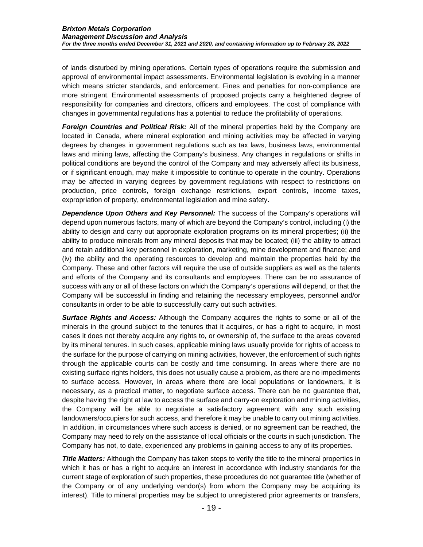of lands disturbed by mining operations. Certain types of operations require the submission and approval of environmental impact assessments. Environmental legislation is evolving in a manner which means stricter standards, and enforcement. Fines and penalties for non-compliance are more stringent. Environmental assessments of proposed projects carry a heightened degree of responsibility for companies and directors, officers and employees. The cost of compliance with changes in governmental regulations has a potential to reduce the profitability of operations.

*Foreign Countries and Political Risk:* All of the mineral properties held by the Company are located in Canada, where mineral exploration and mining activities may be affected in varying degrees by changes in government regulations such as tax laws, business laws, environmental laws and mining laws, affecting the Company's business. Any changes in regulations or shifts in political conditions are beyond the control of the Company and may adversely affect its business, or if significant enough, may make it impossible to continue to operate in the country. Operations may be affected in varying degrees by government regulations with respect to restrictions on production, price controls, foreign exchange restrictions, export controls, income taxes, expropriation of property, environmental legislation and mine safety.

*Dependence Upon Others and Key Personnel:* The success of the Company's operations will depend upon numerous factors, many of which are beyond the Company's control, including (i) the ability to design and carry out appropriate exploration programs on its mineral properties; (ii) the ability to produce minerals from any mineral deposits that may be located; (iii) the ability to attract and retain additional key personnel in exploration, marketing, mine development and finance; and (iv) the ability and the operating resources to develop and maintain the properties held by the Company. These and other factors will require the use of outside suppliers as well as the talents and efforts of the Company and its consultants and employees. There can be no assurance of success with any or all of these factors on which the Company's operations will depend, or that the Company will be successful in finding and retaining the necessary employees, personnel and/or consultants in order to be able to successfully carry out such activities.

*Surface Rights and Access:* Although the Company acquires the rights to some or all of the minerals in the ground subject to the tenures that it acquires, or has a right to acquire, in most cases it does not thereby acquire any rights to, or ownership of, the surface to the areas covered by its mineral tenures. In such cases, applicable mining laws usually provide for rights of access to the surface for the purpose of carrying on mining activities, however, the enforcement of such rights through the applicable courts can be costly and time consuming. In areas where there are no existing surface rights holders, this does not usually cause a problem, as there are no impediments to surface access. However, in areas where there are local populations or landowners, it is necessary, as a practical matter, to negotiate surface access. There can be no guarantee that, despite having the right at law to access the surface and carry-on exploration and mining activities, the Company will be able to negotiate a satisfactory agreement with any such existing landowners/occupiers for such access, and therefore it may be unable to carry out mining activities. In addition, in circumstances where such access is denied, or no agreement can be reached, the Company may need to rely on the assistance of local officials or the courts in such jurisdiction. The Company has not, to date, experienced any problems in gaining access to any of its properties.

*Title Matters:* Although the Company has taken steps to verify the title to the mineral properties in which it has or has a right to acquire an interest in accordance with industry standards for the current stage of exploration of such properties, these procedures do not guarantee title (whether of the Company or of any underlying vendor(s) from whom the Company may be acquiring its interest). Title to mineral properties may be subject to unregistered prior agreements or transfers,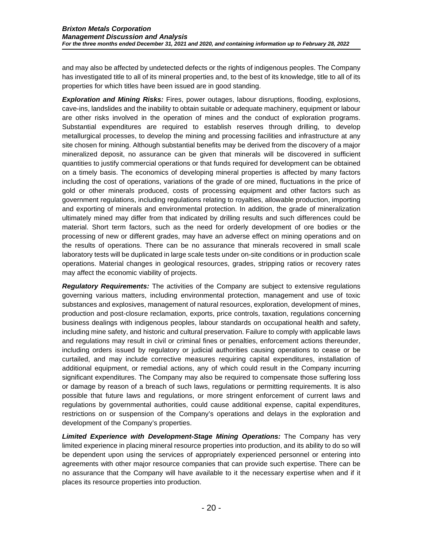and may also be affected by undetected defects or the rights of indigenous peoples. The Company has investigated title to all of its mineral properties and, to the best of its knowledge, title to all of its properties for which titles have been issued are in good standing.

*Exploration and Mining Risks:* Fires, power outages, labour disruptions, flooding, explosions, cave-ins, landslides and the inability to obtain suitable or adequate machinery, equipment or labour are other risks involved in the operation of mines and the conduct of exploration programs. Substantial expenditures are required to establish reserves through drilling, to develop metallurgical processes, to develop the mining and processing facilities and infrastructure at any site chosen for mining. Although substantial benefits may be derived from the discovery of a major mineralized deposit, no assurance can be given that minerals will be discovered in sufficient quantities to justify commercial operations or that funds required for development can be obtained on a timely basis. The economics of developing mineral properties is affected by many factors including the cost of operations, variations of the grade of ore mined, fluctuations in the price of gold or other minerals produced, costs of processing equipment and other factors such as government regulations, including regulations relating to royalties, allowable production, importing and exporting of minerals and environmental protection. In addition, the grade of mineralization ultimately mined may differ from that indicated by drilling results and such differences could be material. Short term factors, such as the need for orderly development of ore bodies or the processing of new or different grades, may have an adverse effect on mining operations and on the results of operations. There can be no assurance that minerals recovered in small scale laboratory tests will be duplicated in large scale tests under on-site conditions or in production scale operations. Material changes in geological resources, grades, stripping ratios or recovery rates may affect the economic viability of projects.

*Regulatory Requirements:* The activities of the Company are subject to extensive regulations governing various matters, including environmental protection, management and use of toxic substances and explosives, management of natural resources, exploration, development of mines, production and post-closure reclamation, exports, price controls, taxation, regulations concerning business dealings with indigenous peoples, labour standards on occupational health and safety, including mine safety, and historic and cultural preservation. Failure to comply with applicable laws and regulations may result in civil or criminal fines or penalties, enforcement actions thereunder, including orders issued by regulatory or judicial authorities causing operations to cease or be curtailed, and may include corrective measures requiring capital expenditures, installation of additional equipment, or remedial actions, any of which could result in the Company incurring significant expenditures. The Company may also be required to compensate those suffering loss or damage by reason of a breach of such laws, regulations or permitting requirements. It is also possible that future laws and regulations, or more stringent enforcement of current laws and regulations by governmental authorities, could cause additional expense, capital expenditures, restrictions on or suspension of the Company's operations and delays in the exploration and development of the Company's properties.

*Limited Experience with Development-Stage Mining Operations:* The Company has very limited experience in placing mineral resource properties into production, and its ability to do so will be dependent upon using the services of appropriately experienced personnel or entering into agreements with other major resource companies that can provide such expertise. There can be no assurance that the Company will have available to it the necessary expertise when and if it places its resource properties into production.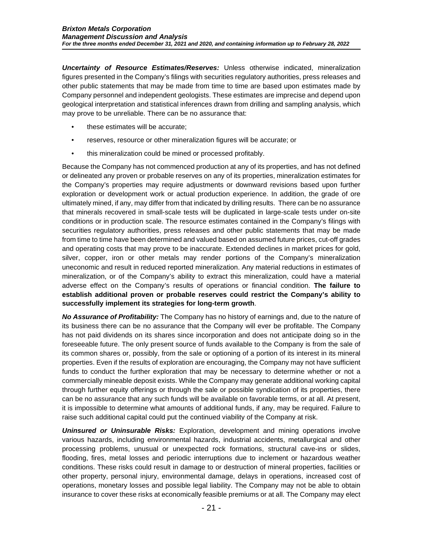*Uncertainty of Resource Estimates/Reserves:* Unless otherwise indicated, mineralization figures presented in the Company's filings with securities regulatory authorities, press releases and other public statements that may be made from time to time are based upon estimates made by Company personnel and independent geologists. These estimates are imprecise and depend upon geological interpretation and statistical inferences drawn from drilling and sampling analysis, which may prove to be unreliable. There can be no assurance that:

- these estimates will be accurate;
- reserves, resource or other mineralization figures will be accurate; or
- this mineralization could be mined or processed profitably.

Because the Company has not commenced production at any of its properties, and has not defined or delineated any proven or probable reserves on any of its properties, mineralization estimates for the Company's properties may require adjustments or downward revisions based upon further exploration or development work or actual production experience. In addition, the grade of ore ultimately mined, if any, may differ from that indicated by drilling results. There can be no assurance that minerals recovered in small-scale tests will be duplicated in large-scale tests under on-site conditions or in production scale. The resource estimates contained in the Company's filings with securities regulatory authorities, press releases and other public statements that may be made from time to time have been determined and valued based on assumed future prices, cut-off grades and operating costs that may prove to be inaccurate. Extended declines in market prices for gold, silver, copper, iron or other metals may render portions of the Company's mineralization uneconomic and result in reduced reported mineralization. Any material reductions in estimates of mineralization, or of the Company's ability to extract this mineralization, could have a material adverse effect on the Company's results of operations or financial condition. **The failure to establish additional proven or probable reserves could restrict the Company's ability to successfully implement its strategies for long-term growth**.

*No Assurance of Profitability:* The Company has no history of earnings and, due to the nature of its business there can be no assurance that the Company will ever be profitable. The Company has not paid dividends on its shares since incorporation and does not anticipate doing so in the foreseeable future. The only present source of funds available to the Company is from the sale of its common shares or, possibly, from the sale or optioning of a portion of its interest in its mineral properties. Even if the results of exploration are encouraging, the Company may not have sufficient funds to conduct the further exploration that may be necessary to determine whether or not a commercially mineable deposit exists. While the Company may generate additional working capital through further equity offerings or through the sale or possible syndication of its properties, there can be no assurance that any such funds will be available on favorable terms, or at all. At present, it is impossible to determine what amounts of additional funds, if any, may be required. Failure to raise such additional capital could put the continued viability of the Company at risk.

*Uninsured or Uninsurable Risks:* Exploration, development and mining operations involve various hazards, including environmental hazards, industrial accidents, metallurgical and other processing problems, unusual or unexpected rock formations, structural cave-ins or slides, flooding, fires, metal losses and periodic interruptions due to inclement or hazardous weather conditions. These risks could result in damage to or destruction of mineral properties, facilities or other property, personal injury, environmental damage, delays in operations, increased cost of operations, monetary losses and possible legal liability. The Company may not be able to obtain insurance to cover these risks at economically feasible premiums or at all. The Company may elect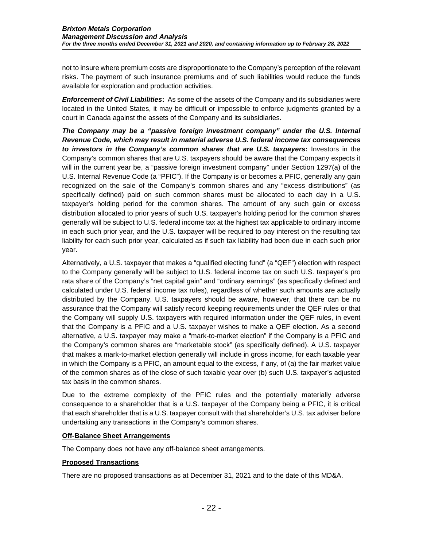not to insure where premium costs are disproportionate to the Company's perception of the relevant risks. The payment of such insurance premiums and of such liabilities would reduce the funds available for exploration and production activities.

*Enforcement of Civil Liabilities***:** As some of the assets of the Company and its subsidiaries were located in the United States, it may be difficult or impossible to enforce judgments granted by a court in Canada against the assets of the Company and its subsidiaries.

*The Company may be a "passive foreign investment company" under the U.S. Internal Revenue Code, which may result in material adverse U.S. federal income tax consequences to investors in the Company's common shares that are U.S. taxpayers***:** Investors in the Company's common shares that are U.S. taxpayers should be aware that the Company expects it will in the current year be, a "passive foreign investment company" under Section 1297(a) of the U.S. Internal Revenue Code (a "PFIC"). If the Company is or becomes a PFIC, generally any gain recognized on the sale of the Company's common shares and any "excess distributions" (as specifically defined) paid on such common shares must be allocated to each day in a U.S. taxpayer's holding period for the common shares. The amount of any such gain or excess distribution allocated to prior years of such U.S. taxpayer's holding period for the common shares generally will be subject to U.S. federal income tax at the highest tax applicable to ordinary income in each such prior year, and the U.S. taxpayer will be required to pay interest on the resulting tax liability for each such prior year, calculated as if such tax liability had been due in each such prior year.

Alternatively, a U.S. taxpayer that makes a "qualified electing fund" (a "QEF") election with respect to the Company generally will be subject to U.S. federal income tax on such U.S. taxpayer's pro rata share of the Company's "net capital gain" and "ordinary earnings" (as specifically defined and calculated under U.S. federal income tax rules), regardless of whether such amounts are actually distributed by the Company. U.S. taxpayers should be aware, however, that there can be no assurance that the Company will satisfy record keeping requirements under the QEF rules or that the Company will supply U.S. taxpayers with required information under the QEF rules, in event that the Company is a PFIC and a U.S. taxpayer wishes to make a QEF election. As a second alternative, a U.S. taxpayer may make a "mark-to-market election" if the Company is a PFIC and the Company's common shares are "marketable stock" (as specifically defined). A U.S. taxpayer that makes a mark-to-market election generally will include in gross income, for each taxable year in which the Company is a PFIC, an amount equal to the excess, if any, of (a) the fair market value of the common shares as of the close of such taxable year over (b) such U.S. taxpayer's adjusted tax basis in the common shares.

Due to the extreme complexity of the PFIC rules and the potentially materially adverse consequence to a shareholder that is a U.S. taxpayer of the Company being a PFIC, it is critical that each shareholder that is a U.S. taxpayer consult with that shareholder's U.S. tax adviser before undertaking any transactions in the Company's common shares.

### **Off-Balance Sheet Arrangements**

The Company does not have any off-balance sheet arrangements.

### **Proposed Transactions**

There are no proposed transactions as at December 31, 2021 and to the date of this MD&A.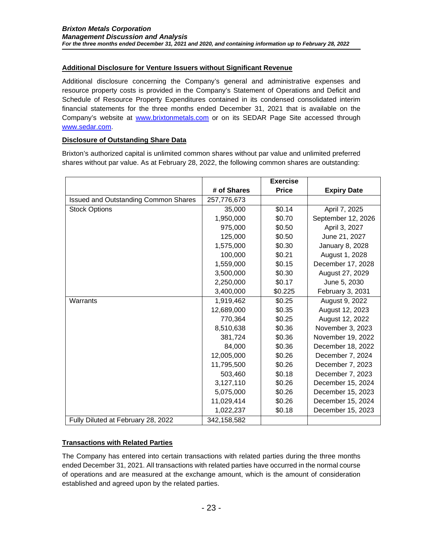# **Additional Disclosure for Venture Issuers without Significant Revenue**

Additional disclosure concerning the Company's general and administrative expenses and resource property costs is provided in the Company's Statement of Operations and Deficit and Schedule of Resource Property Expenditures contained in its condensed consolidated interim financial statements for the three months ended December 31, 2021 that is available on the Company's website at [www.brixtonmetals.com](http://www.brixtonmetals.com/) or on its SEDAR Page Site accessed through [www.sedar.com.](http://www.sedar.com/)

## **Disclosure of Outstanding Share Data**

Brixton's authorized capital is unlimited common shares without par value and unlimited preferred shares without par value. As at February 28, 2022, the following common shares are outstanding:

|                                             |               | <b>Exercise</b> |                    |
|---------------------------------------------|---------------|-----------------|--------------------|
|                                             | # of Shares   | <b>Price</b>    | <b>Expiry Date</b> |
| <b>Issued and Outstanding Common Shares</b> | 257,776,673   |                 |                    |
| <b>Stock Options</b>                        | 35,000        | \$0.14          | April 7, 2025      |
|                                             | 1,950,000     | \$0.70          | September 12, 2026 |
|                                             | 975,000       | \$0.50          | April 3, 2027      |
|                                             | 125,000       | \$0.50          | June 21, 2027      |
|                                             | 1,575,000     | \$0.30          | January 8, 2028    |
|                                             | 100,000       | \$0.21          | August 1, 2028     |
|                                             | 1,559,000     | \$0.15          | December 17, 2028  |
|                                             | 3,500,000     | \$0.30          | August 27, 2029    |
|                                             | 2,250,000     | \$0.17          | June 5, 2030       |
|                                             | 3,400,000     | \$0.225         | February 3, 2031   |
| Warrants                                    | 1,919,462     | \$0.25          | August 9, 2022     |
|                                             | 12,689,000    | \$0.35          | August 12, 2023    |
|                                             | 770,364       | \$0.25          | August 12, 2022    |
|                                             | 8,510,638     | \$0.36          | November 3, 2023   |
|                                             | 381,724       | \$0.36          | November 19, 2022  |
|                                             | 84,000        | \$0.36          | December 18, 2022  |
|                                             | 12,005,000    | \$0.26          | December 7, 2024   |
|                                             | 11,795,500    | \$0.26          | December 7, 2023   |
|                                             | 503,460       | \$0.18          | December 7, 2023   |
|                                             | 3,127,110     | \$0.26          | December 15, 2024  |
|                                             | 5,075,000     | \$0.26          | December 15, 2023  |
|                                             | 11,029,414    | \$0.26          | December 15, 2024  |
|                                             | 1,022,237     | \$0.18          | December 15, 2023  |
| Fully Diluted at February 28, 2022          | 342, 158, 582 |                 |                    |

# **Transactions with Related Parties**

The Company has entered into certain transactions with related parties during the three months ended December 31, 2021. All transactions with related parties have occurred in the normal course of operations and are measured at the exchange amount, which is the amount of consideration established and agreed upon by the related parties.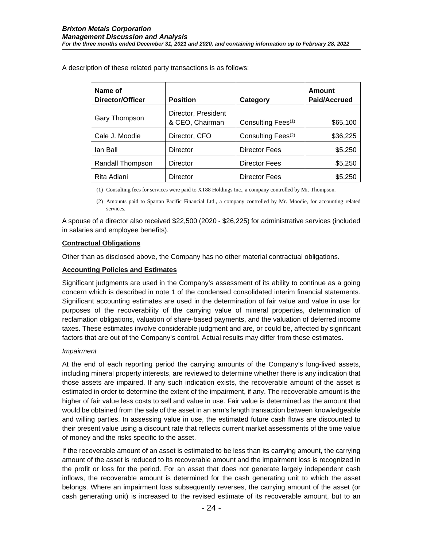| Name of<br>Director/Officer | <b>Position</b>                        | Category                       | Amount<br><b>Paid/Accrued</b> |
|-----------------------------|----------------------------------------|--------------------------------|-------------------------------|
| Gary Thompson               | Director, President<br>& CEO, Chairman | Consulting Fees <sup>(1)</sup> | \$65,100                      |
| Cale J. Moodie              | Director, CFO                          | Consulting Fees <sup>(2)</sup> | \$36,225                      |
| lan Ball                    | Director                               | <b>Director Fees</b>           | \$5,250                       |
| Randall Thompson            | Director                               | <b>Director Fees</b>           | \$5,250                       |
| Rita Adiani                 | Director                               | <b>Director Fees</b>           | \$5,250                       |

A description of these related party transactions is as follows:

(1) Consulting fees for services were paid to XT88 Holdings Inc., a company controlled by Mr. Thompson.

(2) Amounts paid to Spartan Pacific Financial Ltd., a company controlled by Mr. Moodie, for accounting related services.

A spouse of a director also received \$22,500 (2020 - \$26,225) for administrative services (included in salaries and employee benefits).

#### **Contractual Obligations**

Other than as disclosed above, the Company has no other material contractual obligations.

#### **Accounting Policies and Estimates**

Significant judgments are used in the Company's assessment of its ability to continue as a going concern which is described in note 1 of the condensed consolidated interim financial statements. Significant accounting estimates are used in the determination of fair value and value in use for purposes of the recoverability of the carrying value of mineral properties, determination of reclamation obligations, valuation of share-based payments, and the valuation of deferred income taxes. These estimates involve considerable judgment and are, or could be, affected by significant factors that are out of the Company's control. Actual results may differ from these estimates.

#### *Impairment*

At the end of each reporting period the carrying amounts of the Company's long-lived assets, including mineral property interests, are reviewed to determine whether there is any indication that those assets are impaired. If any such indication exists, the recoverable amount of the asset is estimated in order to determine the extent of the impairment, if any. The recoverable amount is the higher of fair value less costs to sell and value in use. Fair value is determined as the amount that would be obtained from the sale of the asset in an arm's length transaction between knowledgeable and willing parties. In assessing value in use, the estimated future cash flows are discounted to their present value using a discount rate that reflects current market assessments of the time value of money and the risks specific to the asset.

If the recoverable amount of an asset is estimated to be less than its carrying amount, the carrying amount of the asset is reduced to its recoverable amount and the impairment loss is recognized in the profit or loss for the period. For an asset that does not generate largely independent cash inflows, the recoverable amount is determined for the cash generating unit to which the asset belongs. Where an impairment loss subsequently reverses, the carrying amount of the asset (or cash generating unit) is increased to the revised estimate of its recoverable amount, but to an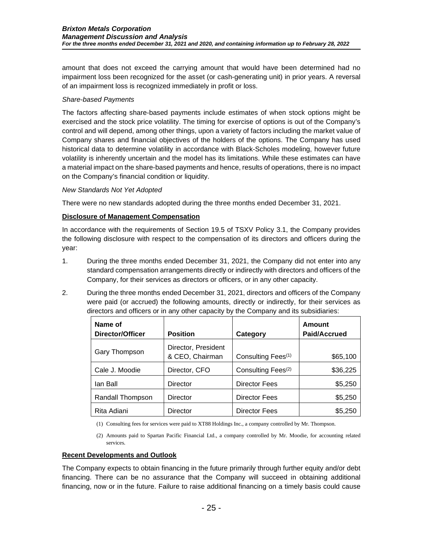amount that does not exceed the carrying amount that would have been determined had no impairment loss been recognized for the asset (or cash-generating unit) in prior years. A reversal of an impairment loss is recognized immediately in profit or loss.

## *Share-based Payments*

The factors affecting share-based payments include estimates of when stock options might be exercised and the stock price volatility. The timing for exercise of options is out of the Company's control and will depend, among other things, upon a variety of factors including the market value of Company shares and financial objectives of the holders of the options. The Company has used historical data to determine volatility in accordance with Black-Scholes modeling, however future volatility is inherently uncertain and the model has its limitations. While these estimates can have a material impact on the share-based payments and hence, results of operations, there is no impact on the Company's financial condition or liquidity.

### *New Standards Not Yet Adopted*

There were no new standards adopted during the three months ended December 31, 2021.

# **Disclosure of Management Compensation**

In accordance with the requirements of Section 19.5 of TSXV Policy 3.1, the Company provides the following disclosure with respect to the compensation of its directors and officers during the year:

- 1. During the three months ended December 31, 2021, the Company did not enter into any standard compensation arrangements directly or indirectly with directors and officers of the Company, for their services as directors or officers, or in any other capacity.
- 2. During the three months ended December 31, 2021, directors and officers of the Company were paid (or accrued) the following amounts, directly or indirectly, for their services as directors and officers or in any other capacity by the Company and its subsidiaries:

| Name of<br>Director/Officer | <b>Position</b>                        | Category                       | <b>Amount</b><br><b>Paid/Accrued</b> |
|-----------------------------|----------------------------------------|--------------------------------|--------------------------------------|
| Gary Thompson               | Director, President<br>& CEO, Chairman | Consulting Fees <sup>(1)</sup> | \$65,100                             |
| Cale J. Moodie              | Director, CFO                          | Consulting Fees <sup>(2)</sup> | \$36,225                             |
| lan Ball                    | <b>Director</b>                        | <b>Director Fees</b>           | \$5,250                              |
| Randall Thompson            | Director                               | <b>Director Fees</b>           | \$5,250                              |
| Rita Adiani                 | <b>Director</b>                        | <b>Director Fees</b>           | \$5,250                              |

(1) Consulting fees for services were paid to XT88 Holdings Inc., a company controlled by Mr. Thompson.

(2) Amounts paid to Spartan Pacific Financial Ltd., a company controlled by Mr. Moodie, for accounting related services.

### **Recent Developments and Outlook**

The Company expects to obtain financing in the future primarily through further equity and/or debt financing. There can be no assurance that the Company will succeed in obtaining additional financing, now or in the future. Failure to raise additional financing on a timely basis could cause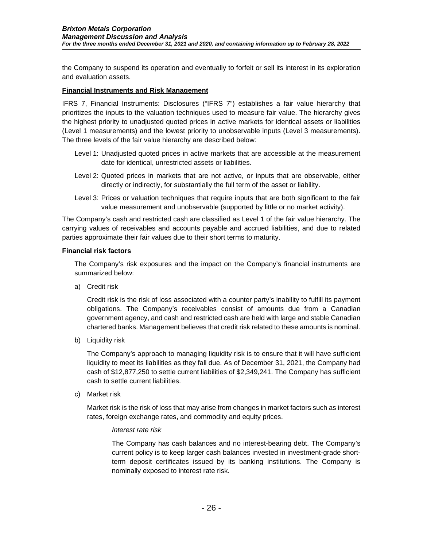the Company to suspend its operation and eventually to forfeit or sell its interest in its exploration and evaluation assets.

#### **Financial Instruments and Risk Management**

IFRS 7, Financial Instruments: Disclosures ("IFRS 7") establishes a fair value hierarchy that prioritizes the inputs to the valuation techniques used to measure fair value. The hierarchy gives the highest priority to unadjusted quoted prices in active markets for identical assets or liabilities (Level 1 measurements) and the lowest priority to unobservable inputs (Level 3 measurements). The three levels of the fair value hierarchy are described below:

- Level 1: Unadjusted quoted prices in active markets that are accessible at the measurement date for identical, unrestricted assets or liabilities.
- Level 2: Quoted prices in markets that are not active, or inputs that are observable, either directly or indirectly, for substantially the full term of the asset or liability.
- Level 3: Prices or valuation techniques that require inputs that are both significant to the fair value measurement and unobservable (supported by little or no market activity).

The Company's cash and restricted cash are classified as Level 1 of the fair value hierarchy. The carrying values of receivables and accounts payable and accrued liabilities, and due to related parties approximate their fair values due to their short terms to maturity.

#### **Financial risk factors**

The Company's risk exposures and the impact on the Company's financial instruments are summarized below:

a) Credit risk

Credit risk is the risk of loss associated with a counter party's inability to fulfill its payment obligations. The Company's receivables consist of amounts due from a Canadian government agency, and cash and restricted cash are held with large and stable Canadian chartered banks. Management believes that credit risk related to these amounts is nominal.

b) Liquidity risk

The Company's approach to managing liquidity risk is to ensure that it will have sufficient liquidity to meet its liabilities as they fall due. As of December 31, 2021, the Company had cash of \$12,877,250 to settle current liabilities of \$2,349,241. The Company has sufficient cash to settle current liabilities.

c) Market risk

Market risk is the risk of loss that may arise from changes in market factors such as interest rates, foreign exchange rates, and commodity and equity prices.

#### *Interest rate risk*

The Company has cash balances and no interest-bearing debt. The Company's current policy is to keep larger cash balances invested in investment-grade shortterm deposit certificates issued by its banking institutions. The Company is nominally exposed to interest rate risk.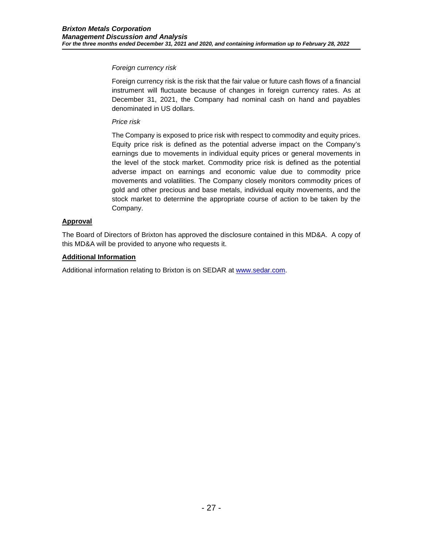## *Foreign currency risk*

Foreign currency risk is the risk that the fair value or future cash flows of a financial instrument will fluctuate because of changes in foreign currency rates. As at December 31, 2021, the Company had nominal cash on hand and payables denominated in US dollars.

# *Price risk*

The Company is exposed to price risk with respect to commodity and equity prices. Equity price risk is defined as the potential adverse impact on the Company's earnings due to movements in individual equity prices or general movements in the level of the stock market. Commodity price risk is defined as the potential adverse impact on earnings and economic value due to commodity price movements and volatilities. The Company closely monitors commodity prices of gold and other precious and base metals, individual equity movements, and the stock market to determine the appropriate course of action to be taken by the Company.

# **Approval**

The Board of Directors of Brixton has approved the disclosure contained in this MD&A. A copy of this MD&A will be provided to anyone who requests it.

# **Additional Information**

Additional information relating to Brixton is on SEDAR at [www.sedar.com.](http://www.sedar.com/)